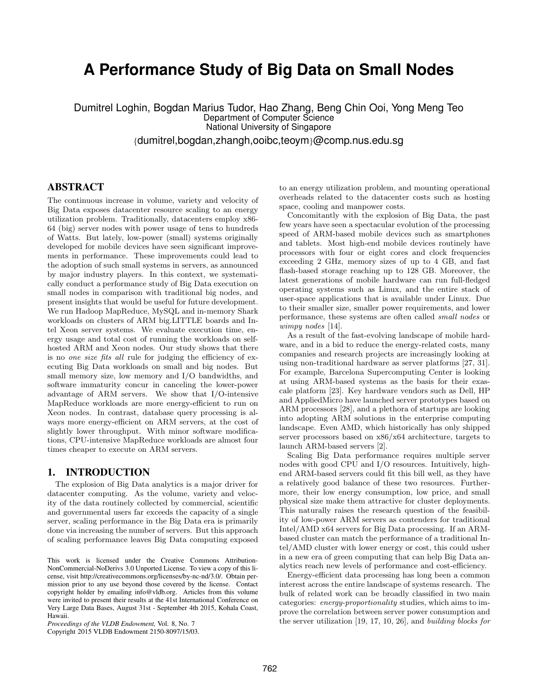# **A Performance Study of Big Data on Small Nodes**

Dumitrel Loghin, Bogdan Marius Tudor, Hao Zhang, Beng Chin Ooi, Yong Meng Teo Department of Computer Science National University of Singapore

{dumitrel,bogdan,zhangh,ooibc,teoym}@comp.nus.edu.sg

# ABSTRACT

The continuous increase in volume, variety and velocity of Big Data exposes datacenter resource scaling to an energy utilization problem. Traditionally, datacenters employ x86- 64 (big) server nodes with power usage of tens to hundreds of Watts. But lately, low-power (small) systems originally developed for mobile devices have seen significant improvements in performance. These improvements could lead to the adoption of such small systems in servers, as announced by major industry players. In this context, we systematically conduct a performance study of Big Data execution on small nodes in comparison with traditional big nodes, and present insights that would be useful for future development. We run Hadoop MapReduce, MySQL and in-memory Shark workloads on clusters of ARM big.LITTLE boards and Intel Xeon server systems. We evaluate execution time, energy usage and total cost of running the workloads on selfhosted ARM and Xeon nodes. Our study shows that there is no one size fits all rule for judging the efficiency of executing Big Data workloads on small and big nodes. But small memory size, low memory and I/O bandwidths, and software immaturity concur in canceling the lower-power advantage of ARM servers. We show that I/O-intensive MapReduce workloads are more energy-efficient to run on Xeon nodes. In contrast, database query processing is always more energy-efficient on ARM servers, at the cost of slightly lower throughput. With minor software modifications, CPU-intensive MapReduce workloads are almost four times cheaper to execute on ARM servers.

# 1. INTRODUCTION

The explosion of Big Data analytics is a major driver for datacenter computing. As the volume, variety and velocity of the data routinely collected by commercial, scientific and governmental users far exceeds the capacity of a single server, scaling performance in the Big Data era is primarily done via increasing the number of servers. But this approach of scaling performance leaves Big Data computing exposed to an energy utilization problem, and mounting operational overheads related to the datacenter costs such as hosting space, cooling and manpower costs.

Concomitantly with the explosion of Big Data, the past few years have seen a spectacular evolution of the processing speed of ARM-based mobile devices such as smartphones and tablets. Most high-end mobile devices routinely have processors with four or eight cores and clock frequencies exceeding 2 GHz, memory sizes of up to 4 GB, and fast flash-based storage reaching up to 128 GB. Moreover, the latest generations of mobile hardware can run full-fledged operating systems such as Linux, and the entire stack of user-space applications that is available under Linux. Due to their smaller size, smaller power requirements, and lower performance, these systems are often called small nodes or wimpy nodes [\[14\]](#page-11-0).

As a result of the fast-evolving landscape of mobile hardware, and in a bid to reduce the energy-related costs, many companies and research projects are increasingly looking at using non-traditional hardware as server platforms [\[27,](#page-11-1) [31\]](#page-11-2). For example, Barcelona Supercomputing Center is looking at using ARM-based systems as the basis for their exascale platform [\[23\]](#page-11-3). Key hardware vendors such as Dell, HP and AppliedMicro have launched server prototypes based on ARM processors [\[28\]](#page-11-4), and a plethora of startups are looking into adopting ARM solutions in the enterprise computing landscape. Even AMD, which historically has only shipped server processors based on x86/x64 architecture, targets to launch ARM-based servers [\[2\]](#page-11-5).

Scaling Big Data performance requires multiple server nodes with good CPU and I/O resources. Intuitively, highend ARM-based servers could fit this bill well, as they have a relatively good balance of these two resources. Furthermore, their low energy consumption, low price, and small physical size make them attractive for cluster deployments. This naturally raises the research question of the feasibility of low-power ARM servers as contenders for traditional Intel/AMD x64 servers for Big Data processing. If an ARMbased cluster can match the performance of a traditional Intel/AMD cluster with lower energy or cost, this could usher in a new era of green computing that can help Big Data analytics reach new levels of performance and cost-efficiency.

Energy-efficient data processing has long been a common interest across the entire landscape of systems research. The bulk of related work can be broadly classified in two main categories: energy-proportionality studies, which aims to improve the correlation between server power consumption and the server utilization [\[19,](#page-11-6) [17,](#page-11-7) [10,](#page-11-8) [26\]](#page-11-9), and building blocks for

This work is licensed under the Creative Commons Attribution-NonCommercial-NoDerivs 3.0 Unported License. To view a copy of this license, visit http://creativecommons.org/licenses/by-nc-nd/3.0/. Obtain permission prior to any use beyond those covered by the license. Contact copyright holder by emailing info@vldb.org. Articles from this volume were invited to present their results at the 41st International Conference on Very Large Data Bases, August 31st - September 4th 2015, Kohala Coast, Hawaii.

*Proceedings of the VLDB Endowment,* Vol. 8, No. 7

Copyright 2015 VLDB Endowment 2150-8097/15/03.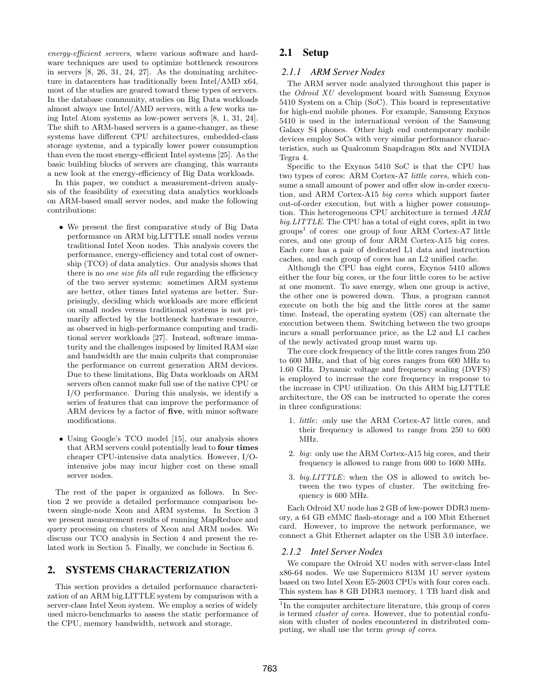energy-efficient servers, where various software and hardware techniques are used to optimize bottleneck resources in servers [\[8,](#page-11-10) [26,](#page-11-9) [31,](#page-11-2) [24,](#page-11-11) [27\]](#page-11-1). As the dominating architecture in datacenters has traditionally been Intel/AMD x64, most of the studies are geared toward these types of servers. In the database community, studies on Big Data workloads almost always use Intel/AMD servers, with a few works using Intel Atom systems as low-power servers [\[8,](#page-11-10) [1,](#page-11-12) [31,](#page-11-2) [24\]](#page-11-11). The shift to ARM-based servers is a game-changer, as these systems have different CPU architectures, embedded-class storage systems, and a typically lower power consumption than even the most energy-efficient Intel systems [\[25\]](#page-11-13). As the basic building blocks of servers are changing, this warrants a new look at the energy-efficiency of Big Data workloads.

In this paper, we conduct a measurement-driven analysis of the feasibility of executing data analytics workloads on ARM-based small server nodes, and make the following contributions:

- We present the first comparative study of Big Data performance on ARM big.LITTLE small nodes versus traditional Intel Xeon nodes. This analysis covers the performance, energy-efficiency and total cost of ownership (TCO) of data analytics. Our analysis shows that there is no *one size fits all* rule regarding the efficiency of the two server systems: sometimes ARM systems are better, other times Intel systems are better. Surprisingly, deciding which workloads are more efficient on small nodes versus traditional systems is not primarily affected by the bottleneck hardware resource, as observed in high-performance computing and traditional server workloads [\[27\]](#page-11-1). Instead, software immaturity and the challenges imposed by limited RAM size and bandwidth are the main culprits that compromise the performance on current generation ARM devices. Due to these limitations, Big Data workloads on ARM servers often cannot make full use of the native CPU or I/O performance. During this analysis, we identify a series of features that can improve the performance of ARM devices by a factor of five, with minor software modifications.
- Using Google's TCO model [\[15\]](#page-11-14), our analysis shows that ARM servers could potentially lead to four times cheaper CPU-intensive data analytics. However, I/Ointensive jobs may incur higher cost on these small server nodes.

The rest of the paper is organized as follows. In Section [2](#page-1-0) we provide a detailed performance comparison between single-node Xeon and ARM systems. In Section [3](#page-3-0) we present measurement results of running MapReduce and query processing on clusters of Xeon and ARM nodes. We discuss our TCO analysis in Section [4](#page-8-0) and present the related work in Section [5.](#page-10-0) Finally, we conclude in Section [6.](#page-10-1)

# <span id="page-1-0"></span>2. SYSTEMS CHARACTERIZATION

This section provides a detailed performance characterization of an ARM big.LITTLE system by comparison with a server-class Intel Xeon system. We employ a series of widely used micro-benchmarks to assess the static performance of the CPU, memory bandwidth, network and storage.

# 2.1 Setup

#### *2.1.1 ARM Server Nodes*

The ARM server node analyzed throughout this paper is the Odroid XU development board with Samsung Exynos 5410 System on a Chip (SoC). This board is representative for high-end mobile phones. For example, Samsung Exynos 5410 is used in the international version of the Samsung Galaxy S4 phones. Other high end contemporary mobile devices employ SoCs with very similar performance characteristics, such as Qualcomm Snapdragon 80x and NVIDIA Tegra 4.

Specific to the Exynos 5410 SoC is that the CPU has two types of cores: ARM Cortex-A7 little cores, which consume a small amount of power and offer slow in-order execution, and ARM Cortex-A15 big cores which support faster out-of-order execution, but with a higher power consumption. This heterogeneous CPU architecture is termed ARM big.LITTLE. The CPU has a total of eight cores, split in two groups<sup>[1](#page-1-1)</sup> of cores: one group of four ARM Cortex-A7 little cores, and one group of four ARM Cortex-A15 big cores. Each core has a pair of dedicated L1 data and instruction caches, and each group of cores has an L2 unified cache.

Although the CPU has eight cores, Exynos 5410 allows either the four big cores, or the four little cores to be active at one moment. To save energy, when one group is active, the other one is powered down. Thus, a program cannot execute on both the big and the little cores at the same time. Instead, the operating system (OS) can alternate the execution between them. Switching between the two groups incurs a small performance price, as the L2 and L1 caches of the newly activated group must warm up.

The core clock frequency of the little cores ranges from 250 to 600 MHz, and that of big cores ranges from 600 MHz to 1.60 GHz. Dynamic voltage and frequency scaling (DVFS) is employed to increase the core frequency in response to the increase in CPU utilization. On this ARM big.LITTLE architecture, the OS can be instructed to operate the cores in three configurations:

- 1. little: only use the ARM Cortex-A7 little cores, and their frequency is allowed to range from 250 to 600 MHz.
- 2. big: only use the ARM Cortex-A15 big cores, and their frequency is allowed to range from 600 to 1600 MHz.
- 3. big.LITTLE: when the OS is allowed to switch between the two types of cluster. The switching frequency is 600 MHz.

Each Odroid XU node has 2 GB of low-power DDR3 memory, a 64 GB eMMC flash-storage and a 100 Mbit Ethernet card. However, to improve the network performance, we connect a Gbit Ethernet adapter on the USB 3.0 interface.

#### *2.1.2 Intel Server Nodes*

We compare the Odroid XU nodes with server-class Intel x86-64 nodes. We use Supermicro 813M 1U server system based on two Intel Xeon E5-2603 CPUs with four cores each. This system has 8 GB DDR3 memory, 1 TB hard disk and

<span id="page-1-1"></span><sup>&</sup>lt;sup>1</sup>In the computer architecture literature, this group of cores is termed cluster of cores. However, due to potential confusion with cluster of nodes encountered in distributed computing, we shall use the term group of cores.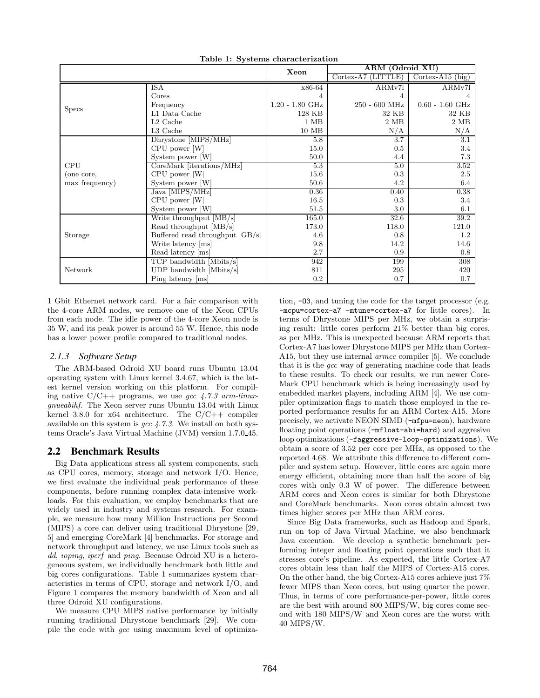|                | $\frac{1}{2}$                   | Xeon              | ARM (Odroid XU)    |                           |  |  |
|----------------|---------------------------------|-------------------|--------------------|---------------------------|--|--|
|                |                                 |                   | Cortex-A7 (LITTLE) | $\text{Cortex-A15}$ (big) |  |  |
|                | <b>ISA</b>                      | x86-64            | ARMv7l             | ARMv7l                    |  |  |
|                | Cores                           | 4                 | 4                  |                           |  |  |
| <b>Specs</b>   | Frequency                       | $1.20 - 1.80$ GHz | 250 - 600 MHz      | $0.60 - 1.60$ GHz         |  |  |
|                | L1 Data Cache                   | 128 KB            | 32 KB              | 32 KB                     |  |  |
|                | L <sub>2</sub> Cache            | $1 \text{ MB}$    | $2\text{ MB}$      | $2\;\mathrm{MB}$          |  |  |
|                | L3 Cache                        | 10 MB             | N/A                | N/A                       |  |  |
|                | Dhrystone [MIPS/MHz]            | 5.8               | 3.7                | $\overline{3.1}$          |  |  |
|                | $CPU$ power $[W]$               | 15.0              | 0.5                | $3.4\,$                   |  |  |
|                | System power [W]                | 50.0              | 4.4                | 7.3                       |  |  |
| <b>CPU</b>     | CoreMark [iterations/MHz]       | 5.3               | 5.0                | 3.52                      |  |  |
| (one core,     | CPU power [W]                   | 15.6              | 0.3                | 2.5                       |  |  |
| max frequency) | System power [W]                | 50.6              | 4.2                | 6.4                       |  |  |
|                | Java [MIPS/MHz]                 | 0.36              | 0.40               | 0.38                      |  |  |
|                | $CPU$ power $[W]$               | 16.5              | 0.3                | 3.4                       |  |  |
|                | System power [W]                | 51.5              | 3.0                | 6.1                       |  |  |
|                | Write throughput [MB/s]         | 165.0             | 32.6               | 39.2                      |  |  |
|                | Read throughput [MB/s]          | 173.0             | 118.0              | 121.0                     |  |  |
| Storage        | Buffered read throughput [GB/s] | 4.6               | 0.8                | 1.2                       |  |  |
|                | Write latency [ms]              | 9.8               | 14.2               | 14.6                      |  |  |
|                | Read latency [ms]               | 2.7               | 0.9                | 0.8                       |  |  |
|                | TCP bandwidth [Mbits/s]         | 942               | 199                | 308                       |  |  |
| Network        | UDP bandwidth [Mbits/s]         | 811               | 295                | 420                       |  |  |
|                | Ping latency [ms]               | $0.2\,$           | 0.7                | 0.7                       |  |  |

<span id="page-2-0"></span>Table 1: Systems characterization

1 Gbit Ethernet network card. For a fair comparison with the 4-core ARM nodes, we remove one of the Xeon CPUs from each node. The idle power of the 4-core Xeon node is 35 W, and its peak power is around 55 W. Hence, this node has a lower power profile compared to traditional nodes.

## *2.1.3 Software Setup*

The ARM-based Odroid XU board runs Ubuntu 13.04 operating system with Linux kernel 3.4.67, which is the latest kernel version working on this platform. For compiling native  $C/C++$  programs, we use gcc 4.7.3 arm-linuxgnueabihf. The Xeon server runs Ubuntu 13.04 with Linux kernel 3.8.0 for  $x64$  architecture. The  $C/C++$  compiler available on this system is  $qcc \angle 4.7.3$ . We install on both systems Oracle's Java Virtual Machine (JVM) version 1.7.0 45.

# 2.2 Benchmark Results

Big Data applications stress all system components, such as CPU cores, memory, storage and network I/O. Hence, we first evaluate the individual peak performance of these components, before running complex data-intensive workloads. For this evaluation, we employ benchmarks that are widely used in industry and systems research. For example, we measure how many Million Instructions per Second (MIPS) a core can deliver using traditional Dhrystone [\[29,](#page-11-15) [5\]](#page-11-16) and emerging CoreMark [\[4\]](#page-11-17) benchmarks. For storage and network throughput and latency, we use Linux tools such as dd, *ioping, iperf* and *ping*. Because Odroid XU is a heterogeneous system, we individually benchmark both little and big cores configurations. Table [1](#page-2-0) summarizes system characteristics in terms of CPU, storage and network I/O, and Figure [1](#page-3-1) compares the memory bandwidth of Xeon and all three Odroid XU configurations.

We measure CPU MIPS native performance by initially running traditional Dhrystone benchmark [\[29\]](#page-11-15). We compile the code with gcc using maximum level of optimization, -O3, and tuning the code for the target processor (e.g. -mcpu=cortex-a7 -mtune=cortex-a7 for little cores). In terms of Dhrystone MIPS per MHz, we obtain a surprising result: little cores perform 21% better than big cores, as per MHz. This is unexpected because ARM reports that Cortex-A7 has lower Dhrystone MIPS per MHz than Cortex-A15, but they use internal armcc compiler [\[5\]](#page-11-16). We conclude that it is the gcc way of generating machine code that leads to these results. To check our results, we run newer Core-Mark CPU benchmark which is being increasingly used by embedded market players, including ARM [\[4\]](#page-11-17). We use compiler optimization flags to match those employed in the reported performance results for an ARM Cortex-A15. More precisely, we activate NEON SIMD (-mfpu=neon), hardware floating point operations (-mfloat-abi=hard) and aggresive loop optimizations (-faggressive-loop-optimizations). We obtain a score of 3.52 per core per MHz, as opposed to the reported 4.68. We attribute this difference to different compiler and system setup. However, little cores are again more energy efficient, obtaining more than half the score of big cores with only 0.3 W of power. The difference between ARM cores and Xeon cores is similar for both Dhrystone and CoreMark benchmarks. Xeon cores obtain almost two times higher scores per MHz than ARM cores.

Since Big Data frameworks, such as Hadoop and Spark, run on top of Java Virtual Machine, we also benchmark Java execution. We develop a synthetic benchmark performing integer and floating point operations such that it stresses core's pipeline. As expected, the little Cortex-A7 cores obtain less than half the MIPS of Cortex-A15 cores. On the other hand, the big Cortex-A15 cores achieve just 7% fewer MIPS than Xeon cores, but using quarter the power. Thus, in terms of core performance-per-power, little cores are the best with around 800 MIPS/W, big cores come second with 180 MIPS/W and Xeon cores are the worst with 40 MIPS/W.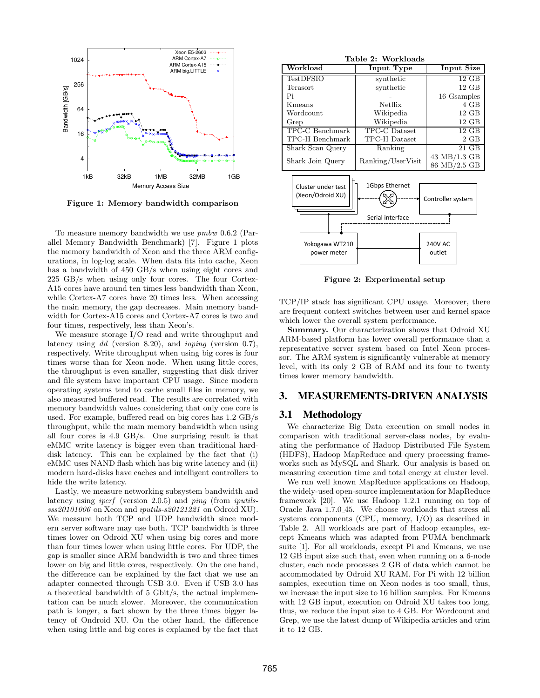

<span id="page-3-1"></span>Figure 1: Memory bandwidth comparison

To measure memory bandwidth we use pmbw 0.6.2 (Parallel Memory Bandwidth Benchmark) [\[7\]](#page-11-18). Figure [1](#page-3-1) plots the memory bandwidth of Xeon and the three ARM configurations, in log-log scale. When data fits into cache, Xeon has a bandwidth of 450 GB/s when using eight cores and 225 GB/s when using only four cores. The four Cortex-A15 cores have around ten times less bandwidth than Xeon, while Cortex-A7 cores have 20 times less. When accessing the main memory, the gap decreases. Main memory bandwidth for Cortex-A15 cores and Cortex-A7 cores is two and four times, respectively, less than Xeon's.

We measure storage I/O read and write throughput and latency using dd (version 8.20), and ioping (version 0.7), respectively. Write throughput when using big cores is four times worse than for Xeon node. When using little cores, the throughput is even smaller, suggesting that disk driver and file system have important CPU usage. Since modern operating systems tend to cache small files in memory, we also measured buffered read. The results are correlated with memory bandwidth values considering that only one core is used. For example, buffered read on big cores has 1.2 GB/s throughput, while the main memory bandwidth when using all four cores is 4.9 GB/s. One surprising result is that eMMC write latency is bigger even than traditional harddisk latency. This can be explained by the fact that (i) eMMC uses NAND flash which has big write latency and (ii) modern hard-disks have caches and intelligent controllers to hide the write latency.

Lastly, we measure networking subsystem bandwidth and latency using *iperf* (version 2.0.5) and *ping* (from *iputils*sss20101006 on Xeon and iputils-s20121221 on Odroid XU). We measure both TCP and UDP bandwidth since modern server software may use both. TCP bandwidth is three times lower on Odroid XU when using big cores and more than four times lower when using little cores. For UDP, the gap is smaller since ARM bandwidth is two and three times lower on big and little cores, respectively. On the one hand, the difference can be explained by the fact that we use an adapter connected through USB 3.0. Even if USB 3.0 has a theoretical bandwidth of 5 Gbit/s, the actual implementation can be much slower. Moreover, the communication path is longer, a fact shown by the three times bigger latency of Ondroid XU. On the other hand, the difference when using little and big cores is explained by the fact that

<span id="page-3-2"></span>

| Table 2: Workloads                     |                                    |                          |  |  |  |  |  |  |  |
|----------------------------------------|------------------------------------|--------------------------|--|--|--|--|--|--|--|
| Workload                               | Input Type                         | <b>Input Size</b>        |  |  |  |  |  |  |  |
| TestDFSIO                              | synthetic                          | 12 GB                    |  |  |  |  |  |  |  |
| Terasort                               | synthetic                          | 12 GB                    |  |  |  |  |  |  |  |
| Pi                                     |                                    | 16 Gsamples              |  |  |  |  |  |  |  |
| Kmeans                                 | Netflix                            | 4 GB                     |  |  |  |  |  |  |  |
| Wordcount                              | Wikipedia                          | 12 GB                    |  |  |  |  |  |  |  |
| Grep                                   | Wikipedia                          | 12 GB                    |  |  |  |  |  |  |  |
| TPC-C Benchmark                        | TPC-C Dataset                      | $12$ GB                  |  |  |  |  |  |  |  |
| TPC-H Benchmark                        | TPC-H Dataset                      | 2 GB                     |  |  |  |  |  |  |  |
| Shark Scan Query                       | Ranking                            | 21 GB                    |  |  |  |  |  |  |  |
| Shark Join Query                       | Ranking/UserVisit                  | 43 MB/1.3 GB             |  |  |  |  |  |  |  |
|                                        |                                    | 86 MB/2.5 GB             |  |  |  |  |  |  |  |
| Cluster under test<br>(Xeon/Odroid XU) | 1Gbps Ethernet<br>Serial interface | Controller system        |  |  |  |  |  |  |  |
| Yokogawa WT210<br>power meter          |                                    | <b>240V AC</b><br>outlet |  |  |  |  |  |  |  |

<span id="page-3-3"></span>Figure 2: Experimental setup

TCP/IP stack has significant CPU usage. Moreover, there are frequent context switches between user and kernel space which lower the overall system performance.

Summary. Our characterization shows that Odroid XU ARM-based platform has lower overall performance than a representative server system based on Intel Xeon processor. The ARM system is significantly vulnerable at memory level, with its only 2 GB of RAM and its four to twenty times lower memory bandwidth.

#### <span id="page-3-0"></span>3. MEASUREMENTS-DRIVEN ANALYSIS

#### 3.1 Methodology

We characterize Big Data execution on small nodes in comparison with traditional server-class nodes, by evaluating the performance of Hadoop Distributed File System (HDFS), Hadoop MapReduce and query processing frameworks such as MySQL and Shark. Our analysis is based on measuring execution time and total energy at cluster level.

We run well known MapReduce applications on Hadoop, the widely-used open-source implementation for MapReduce framework [\[20\]](#page-11-19). We use Hadoop 1.2.1 running on top of Oracle Java 1.7.0 45. We choose workloads that stress all systems components (CPU, memory, I/O) as described in Table [2.](#page-3-2) All workloads are part of Hadoop examples, except Kmeans which was adapted from PUMA benchmark suite [\[1\]](#page-11-12). For all workloads, except Pi and Kmeans, we use 12 GB input size such that, even when running on a 6-node cluster, each node processes 2 GB of data which cannot be accommodated by Odroid XU RAM. For Pi with 12 billion samples, execution time on Xeon nodes is too small, thus, we increase the input size to 16 billion samples. For Kmeans with 12 GB input, execution on Odroid XU takes too long, thus, we reduce the input size to 4 GB. For Wordcount and Grep, we use the latest dump of Wikipedia articles and trim it to 12 GB.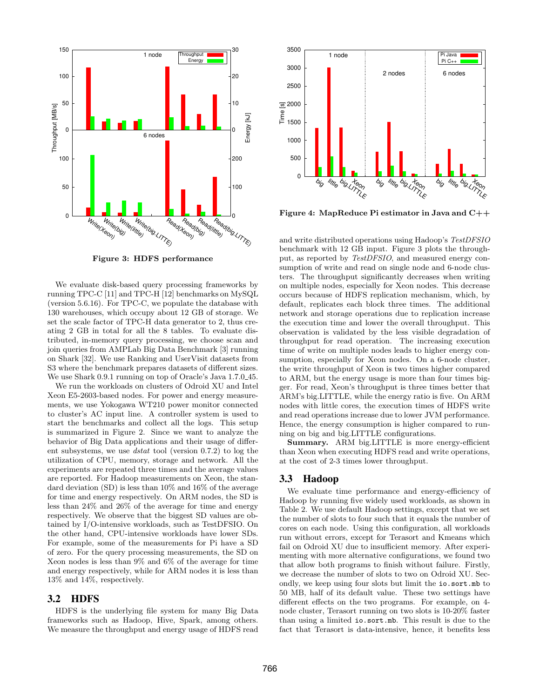

<span id="page-4-0"></span>Figure 3: HDFS performance

We evaluate disk-based query processing frameworks by running TPC-C [\[11\]](#page-11-20) and TPC-H [\[12\]](#page-11-21) benchmarks on MySQL (version 5.6.16). For TPC-C, we populate the database with 130 warehouses, which occupy about 12 GB of storage. We set the scale factor of TPC-H data generator to 2, thus creating 2 GB in total for all the 8 tables. To evaluate distributed, in-memory query processing, we choose scan and join queries from AMPLab Big Data Benchmark [\[3\]](#page-11-22) running on Shark [\[32\]](#page-11-23). We use Ranking and UserVisit datasets from S3 where the benchmark prepares datasets of different sizes. We use Shark 0.9.1 running on top of Oracle's Java 1.7.0 45.

We run the workloads on clusters of Odroid XU and Intel Xeon E5-2603-based nodes. For power and energy measurements, we use Yokogawa WT210 power monitor connected to cluster's AC input line. A controller system is used to start the benchmarks and collect all the logs. This setup is summarized in Figure [2.](#page-3-3) Since we want to analyze the behavior of Big Data applications and their usage of different subsystems, we use dstat tool (version 0.7.2) to log the utilization of CPU, memory, storage and network. All the experiments are repeated three times and the average values are reported. For Hadoop measurements on Xeon, the standard deviation (SD) is less than 10% and 16% of the average for time and energy respectively. On ARM nodes, the SD is less than 24% and 26% of the average for time and energy respectively. We observe that the biggest SD values are obtained by I/O-intensive workloads, such as TestDFSIO. On the other hand, CPU-intensive workloads have lower SDs. For example, some of the measurements for Pi have a SD of zero. For the query processing measurements, the SD on Xeon nodes is less than 9% and 6% of the average for time and energy respectively, while for ARM nodes it is less than 13% and 14%, respectively.

## 3.2 HDFS

HDFS is the underlying file system for many Big Data frameworks such as Hadoop, Hive, Spark, among others. We measure the throughput and energy usage of HDFS read



<span id="page-4-1"></span>Figure 4: MapReduce Pi estimator in Java and C++

and write distributed operations using Hadoop's TestDFSIO benchmark with 12 GB input. Figure [3](#page-4-0) plots the throughput, as reported by TestDFSIO, and measured energy consumption of write and read on single node and 6-node clusters. The throughput significantly decreases when writing on multiple nodes, especially for Xeon nodes. This decrease occurs because of HDFS replication mechanism, which, by default, replicates each block three times. The additional network and storage operations due to replication increase the execution time and lower the overall throughput. This observation is validated by the less visible degradation of throughput for read operation. The increasing execution time of write on multiple nodes leads to higher energy consumption, especially for Xeon nodes. On a 6-node cluster, the write throughput of Xeon is two times higher compared to ARM, but the energy usage is more than four times bigger. For read, Xeon's throughput is three times better that ARM's big.LITTLE, while the energy ratio is five. On ARM nodes with little cores, the execution times of HDFS write and read operations increase due to lower JVM performance. Hence, the energy consumption is higher compared to running on big and big.LITTLE configurations.

Summary. ARM big.LITTLE is more energy-efficient than Xeon when executing HDFS read and write operations, at the cost of 2-3 times lower throughput.

# <span id="page-4-2"></span>3.3 Hadoop

We evaluate time performance and energy-efficiency of Hadoop by running five widely used workloads, as shown in Table [2.](#page-3-2) We use default Hadoop settings, except that we set the number of slots to four such that it equals the number of cores on each node. Using this configuration, all workloads run without errors, except for Terasort and Kmeans which fail on Odroid XU due to insufficient memory. After experimenting with more alternative configurations, we found two that allow both programs to finish without failure. Firstly, we decrease the number of slots to two on Odroid XU. Secondly, we keep using four slots but limit the io.sort.mb to 50 MB, half of its default value. These two settings have different effects on the two programs. For example, on 4 node cluster, Terasort running on two slots is 10-20% faster than using a limited io.sort.mb. This result is due to the fact that Terasort is data-intensive, hence, it benefits less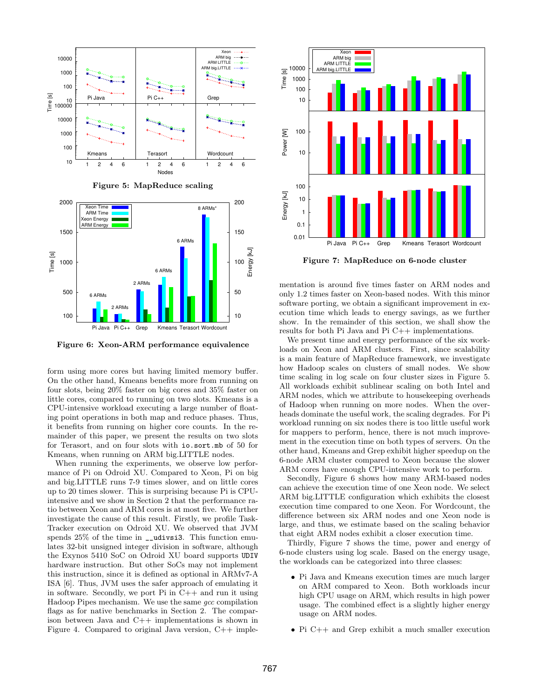

<span id="page-5-1"></span><span id="page-5-0"></span>Figure 6: Xeon-ARM performance equivalence

form using more cores but having limited memory buffer. On the other hand, Kmeans benefits more from running on four slots, being 20% faster on big cores and 35% faster on little cores, compared to running on two slots. Kmeans is a CPU-intensive workload executing a large number of floating point operations in both map and reduce phases. Thus, it benefits from running on higher core counts. In the remainder of this paper, we present the results on two slots for Terasort, and on four slots with io.sort.mb of 50 for Kmeans, when running on ARM big.LITTLE nodes.

When running the experiments, we observe low performance of Pi on Odroid XU. Compared to Xeon, Pi on big and big.LITTLE runs 7-9 times slower, and on little cores up to 20 times slower. This is surprising because Pi is CPUintensive and we show in Section [2](#page-1-0) that the performance ratio between Xeon and ARM cores is at most five. We further investigate the cause of this result. Firstly, we profile Task-Tracker execution on Odroid XU. We observed that JVM spends 25% of the time in \_\_udivsi3. This function emulates 32-bit unsigned integer division in software, although the Exynos 5410 SoC on Odroid XU board supports UDIV hardware instruction. But other SoCs may not implement this instruction, since it is defined as optional in ARMv7-A ISA [\[6\]](#page-11-24). Thus, JVM uses the safer approach of emulating it in software. Secondly, we port  $Pi$  in  $C++$  and run it using Hadoop Pipes mechanism. We use the same gcc compilation flags as for native benchmarks in Section [2.](#page-1-0) The comparison between Java and C++ implementations is shown in Figure [4.](#page-4-1) Compared to original Java version,  $C++$  imple-



<span id="page-5-2"></span>Figure 7: MapReduce on 6-node cluster

mentation is around five times faster on ARM nodes and only 1.2 times faster on Xeon-based nodes. With this minor software porting, we obtain a significant improvement in execution time which leads to energy savings, as we further show. In the remainder of this section, we shall show the results for both Pi Java and Pi C++ implementations.

We present time and energy performance of the six workloads on Xeon and ARM clusters. First, since scalability is a main feature of MapReduce framework, we investigate how Hadoop scales on clusters of small nodes. We show time scaling in log scale on four cluster sizes in Figure [5.](#page-5-0) All workloads exhibit sublinear scaling on both Intel and ARM nodes, which we attribute to housekeeping overheads of Hadoop when running on more nodes. When the overheads dominate the useful work, the scaling degrades. For Pi workload running on six nodes there is too little useful work for mappers to perform, hence, there is not much improvement in the execution time on both types of servers. On the other hand, Kmeans and Grep exhibit higher speedup on the 6-node ARM cluster compared to Xeon because the slower ARM cores have enough CPU-intensive work to perform.

Secondly, Figure [6](#page-5-1) shows how many ARM-based nodes can achieve the execution time of one Xeon node. We select ARM big.LITTLE configuration which exhibits the closest execution time compared to one Xeon. For Wordcount, the difference between six ARM nodes and one Xeon node is large, and thus, we estimate based on the scaling behavior that eight ARM nodes exhibit a closer execution time.

Thirdly, Figure [7](#page-5-2) shows the time, power and energy of 6-node clusters using log scale. Based on the energy usage, the workloads can be categorized into three classes:

- Pi Java and Kmeans execution times are much larger on ARM compared to Xeon. Both workloads incur high CPU usage on ARM, which results in high power usage. The combined effect is a slightly higher energy usage on ARM nodes.
- Pi C++ and Grep exhibit a much smaller execution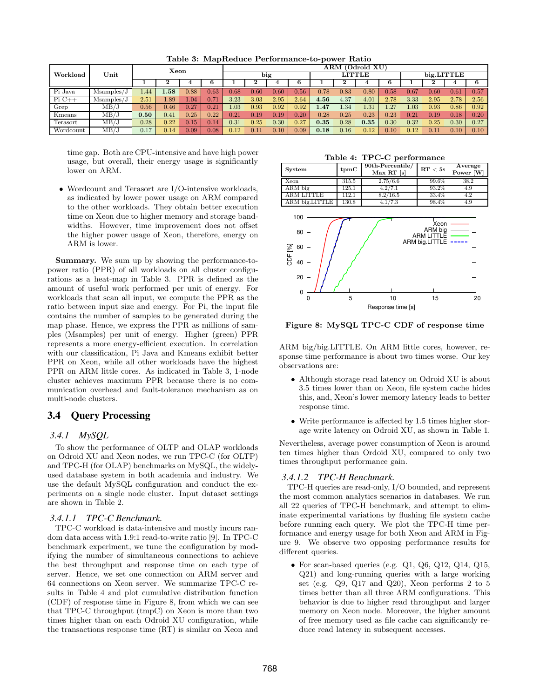|           |                        | Xeon |          |      | ARM (Odroid XU) |                   |                 |      |      |            |      |      |      |      |      |          |      |
|-----------|------------------------|------|----------|------|-----------------|-------------------|-----------------|------|------|------------|------|------|------|------|------|----------|------|
| Workload  | Unit                   |      |          | big  |                 |                   | $_{\rm LITTLE}$ |      |      | big.LITTLE |      |      |      |      |      |          |      |
|           |                        |      |          |      |                 |                   |                 |      |      |            | ◢    | 4    | 6    |      |      |          |      |
| Pi Java   | $M$ samples/J          | 1.44 | 1.58     | 0.88 | 0.63            | 0.68              | 0.60            | 0.60 | 0.56 | 0.78       | 0.83 | 0.80 | 0.58 | 0.67 | 0.60 | $0.61\,$ | 0.57 |
| $Pi C++$  | M <sub>samples/J</sub> | 2.51 | 1.89     | 0.04 | 0.71            | 3.23              | 3.03            | 2.95 | 2.64 | 4.56       | 4.37 | 4.01 | 2.78 | 3.33 | 2.95 | 2.78     | 2.56 |
| Grep      | MB/J                   | 0.56 | $0.46\,$ | 0.27 | 0.21            | 1.03 <sub>1</sub> | 0.93            | 0.92 | 0.92 | 1.47       | 1.34 | 1.31 | 1.27 | .03  | 0.93 | 0.86     | 0.92 |
| Kmeans    | MB/J                   | 0.50 | 0.41     | 0.25 | 0.22            | 0.21              | 0.19            | 0.19 | 0.20 | 0.28       | 0.25 | 0.23 | 0.23 | 0.21 | 0.19 | 0.18     | 0.20 |
| Terasort  | MB/J                   | 0.28 | 0.22     | 0.15 | 0.14            | 0.31              | 0.25            | 0.30 | 0.27 | 0.35       | 0.28 | 0.35 | 0.30 | 0.32 | 0.25 | 0.30     | 0.27 |
| Wordcount | MB/J                   | 0.17 | 0.14     | 0.09 | 0.08            | 0.12              | 0.11            | 0.10 | 0.09 | 0.18       | 0.16 | 0.12 | 0.10 | 0.12 | 0.11 | $0.10\,$ | 0.10 |

<span id="page-6-0"></span>Table 3: MapReduce Performance-to-power Ratio

time gap. Both are CPU-intensive and have high power usage, but overall, their energy usage is significantly lower on ARM.

• Wordcount and Terasort are I/O-intensive workloads, as indicated by lower power usage on ARM compared to the other workloads. They obtain better execution time on Xeon due to higher memory and storage bandwidths. However, time improvement does not offset the higher power usage of Xeon, therefore, energy on ARM is lower.

Summary. We sum up by showing the performance-topower ratio (PPR) of all workloads on all cluster configurations as a heat-map in Table [3.](#page-6-0) PPR is defined as the amount of useful work performed per unit of energy. For workloads that scan all input, we compute the PPR as the ratio between input size and energy. For Pi, the input file contains the number of samples to be generated during the map phase. Hence, we express the PPR as millions of samples (Msamples) per unit of energy. Higher (green) PPR represents a more energy-efficient execution. In correlation with our classification, Pi Java and Kmeans exhibit better PPR on Xeon, while all other workloads have the highest PPR on ARM little cores. As indicated in Table [3,](#page-6-0) 1-node cluster achieves maximum PPR because there is no communication overhead and fault-tolerance mechanism as on multi-node clusters.

# 3.4 Query Processing

# *3.4.1 MySQL*

To show the performance of OLTP and OLAP workloads on Odroid XU and Xeon nodes, we run TPC-C (for OLTP) and TPC-H (for OLAP) benchmarks on MySQL, the widelyused database system in both academia and industry. We use the default MySQL configuration and conduct the experiments on a single node cluster. Input dataset settings are shown in Table [2.](#page-3-2)

## *3.4.1.1 TPC-C Benchmark.*

TPC-C workload is data-intensive and mostly incurs random data access with 1.9:1 read-to-write ratio [\[9\]](#page-11-25). In TPC-C benchmark experiment, we tune the configuration by modifying the number of simultaneous connections to achieve the best throughput and response time on each type of server. Hence, we set one connection on ARM server and 64 connections on Xeon server. We summarize TPC-C results in Table [4](#page-6-1) and plot cumulative distribution function (CDF) of response time in Figure [8,](#page-6-2) from which we can see that TPC-C throughput (tmpC) on Xeon is more than two times higher than on each Odroid XU configuration, while the transactions response time (RT) is similar on Xeon and

#### <span id="page-6-1"></span>Table 4: TPC-C performance

| <b>System</b>  | tpmC  | 90th-Percentile/<br>Max RT [s] | $\rm{RT} < 5 \rm{s}$ | Average<br>Power [W] |
|----------------|-------|--------------------------------|----------------------|----------------------|
| Xeon           | 315.5 | 2.75/6.6                       | 99.6%                | 38.2                 |
| ARM big        | 125.1 | 4.2/7.1                        | 93.2%                | 4.9                  |
| ARM LITTLE     | 112.1 | $8.2/\overline{16.5}$          | 33.4%                | 4.2                  |
| ARM big.LITTLE | 130.8 | /7.3                           | $98.4\%$             | 4.9                  |



<span id="page-6-2"></span>Figure 8: MySQL TPC-C CDF of response time

ARM big/big.LITTLE. On ARM little cores, however, response time performance is about two times worse. Our key observations are:

- Although storage read latency on Odroid XU is about 3.5 times lower than on Xeon, file system cache hides this, and, Xeon's lower memory latency leads to better response time.
- Write performance is affected by 1.5 times higher storage write latency on Odroid XU, as shown in Table [1.](#page-2-0)

Nevertheless, average power consumption of Xeon is around ten times higher than Ordoid XU, compared to only two times throughput performance gain.

#### *3.4.1.2 TPC-H Benchmark.*

TPC-H queries are read-only, I/O bounded, and represent the most common analytics scenarios in databases. We run all 22 queries of TPC-H benchmark, and attempt to eliminate experimental variations by flushing file system cache before running each query. We plot the TPC-H time performance and energy usage for both Xeon and ARM in Figure [9.](#page-7-0) We observe two opposing performance results for different queries.

• For scan-based queries (e.g.  $Q1$ ,  $Q6$ ,  $Q12$ ,  $Q14$ ,  $Q15$ , Q21) and long-running queries with a large working set (e.g. Q9, Q17 and Q20), Xeon performs 2 to 5 times better than all three ARM configurations. This behavior is due to higher read throughput and larger memory on Xeon node. Moreover, the higher amount of free memory used as file cache can significantly reduce read latency in subsequent accesses.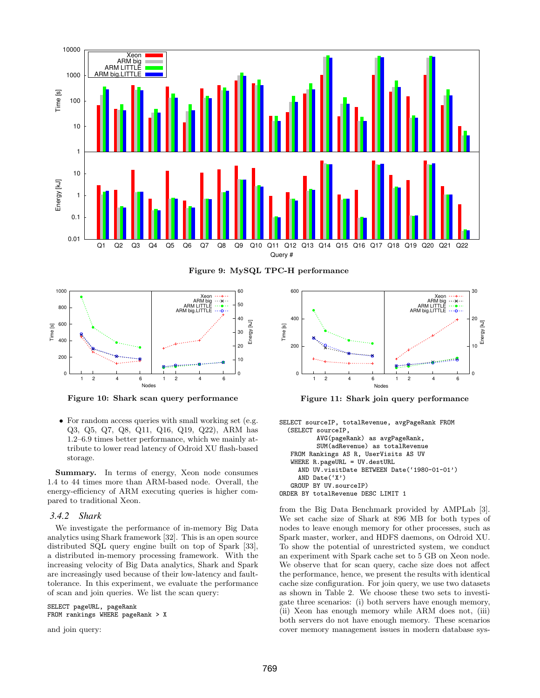

<span id="page-7-0"></span>Figure 9: MySQL TPC-H performance



<span id="page-7-1"></span>Figure 10: Shark scan query performance

• For random access queries with small working set (e.g. Q3, Q5, Q7, Q8, Q11, Q16, Q19, Q22), ARM has 1.2–6.9 times better performance, which we mainly attribute to lower read latency of Odroid XU flash-based storage.

Summary. In terms of energy, Xeon node consumes 1.4 to 44 times more than ARM-based node. Overall, the energy-efficiency of ARM executing queries is higher compared to traditional Xeon.

#### *3.4.2 Shark*

We investigate the performance of in-memory Big Data analytics using Shark framework [\[32\]](#page-11-23). This is an open source distributed SQL query engine built on top of Spark [\[33\]](#page-11-26), a distributed in-memory processing framework. With the increasing velocity of Big Data analytics, Shark and Spark are increasingly used because of their low-latency and faulttolerance. In this experiment, we evaluate the performance of scan and join queries. We list the scan query:

```
SELECT pageURL, pageRank
FROM rankings WHERE pageRank > X
```
and join query:



<span id="page-7-2"></span>Figure 11: Shark join query performance

```
SELECT sourceIP, totalRevenue, avgPageRank FROM
  (SELECT sourceIP,
          AVG(pageRank) as avgPageRank,
          SUM(adRevenue) as totalRevenue
   FROM Rankings AS R, UserVisits AS UV
   WHERE R.pageURL = UV.destURL
     AND UV.visitDate BETWEEN Date('1980-01-01')
     AND Date('X')
   GROUP BY UV.sourceIP)
```
ORDER BY totalRevenue DESC LIMIT 1

from the Big Data Benchmark provided by AMPLab [\[3\]](#page-11-22). We set cache size of Shark at 896 MB for both types of nodes to leave enough memory for other processes, such as Spark master, worker, and HDFS daemons, on Odroid XU. To show the potential of unrestricted system, we conduct an experiment with Spark cache set to 5 GB on Xeon node. We observe that for scan query, cache size does not affect the performance, hence, we present the results with identical cache size configuration. For join query, we use two datasets as shown in Table [2.](#page-3-2) We choose these two sets to investigate three scenarios: (i) both servers have enough memory, (ii) Xeon has enough memory while ARM does not, (iii) both servers do not have enough memory. These scenarios cover memory management issues in modern database sys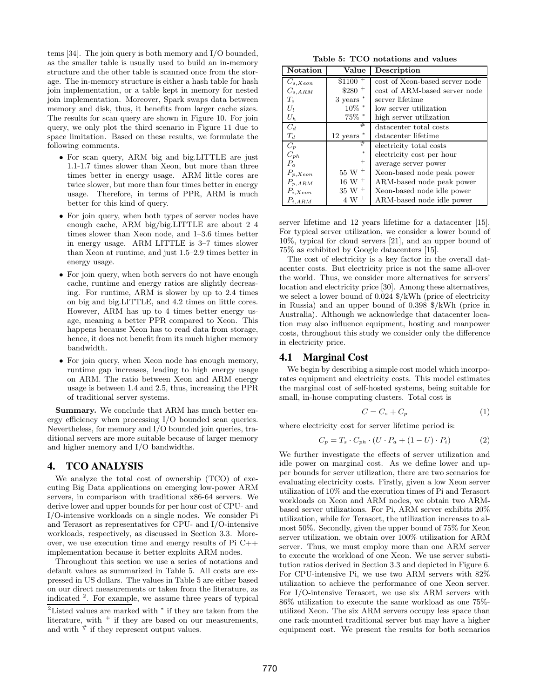tems [\[34\]](#page-11-27). The join query is both memory and I/O bounded, as the smaller table is usually used to build an in-memory structure and the other table is scanned once from the storage. The in-memory structure is either a hash table for hash join implementation, or a table kept in memory for nested join implementation. Moreover, Spark swaps data between memory and disk, thus, it benefits from larger cache sizes. The results for scan query are shown in Figure [10.](#page-7-1) For join query, we only plot the third scenario in Figure [11](#page-7-2) due to space limitation. Based on these results, we formulate the following comments.

- For scan query, ARM big and big.LITTLE are just 1.1-1.7 times slower than Xeon, but more than three times better in energy usage. ARM little cores are twice slower, but more than four times better in energy usage. Therefore, in terms of PPR, ARM is much better for this kind of query.
- For join query, when both types of server nodes have enough cache, ARM big/big.LITTLE are about 2–4 times slower than Xeon node, and 1–3.6 times better in energy usage. ARM LITTLE is 3–7 times slower than Xeon at runtime, and just 1.5–2.9 times better in energy usage.
- For join query, when both servers do not have enough cache, runtime and energy ratios are slightly decreasing. For runtime, ARM is slower by up to 2.4 times on big and big.LITTLE, and 4.2 times on little cores. However, ARM has up to 4 times better energy usage, meaning a better PPR compared to Xeon. This happens because Xeon has to read data from storage, hence, it does not benefit from its much higher memory bandwidth.
- For join query, when Xeon node has enough memory, runtime gap increases, leading to high energy usage on ARM. The ratio between Xeon and ARM energy usage is between 1.4 and 2.5, thus, increasing the PPR of traditional server systems.

Summary. We conclude that ARM has much better energy efficiency when processing I/O bounded scan queries. Nevertheless, for memory and I/O bounded join queries, traditional servers are more suitable because of larger memory and higher memory and I/O bandwidths.

## <span id="page-8-0"></span>4. TCO ANALYSIS

We analyze the total cost of ownership (TCO) of executing Big Data applications on emerging low-power ARM servers, in comparison with traditional x86-64 servers. We derive lower and upper bounds for per hour cost of CPU- and I/O-intensive workloads on a single nodes. We consider Pi and Terasort as representatives for CPU- and I/O-intensive workloads, respectively, as discussed in Section [3.3.](#page-4-2) Moreover, we use execution time and energy results of Pi C++ implementation because it better exploits ARM nodes.

Throughout this section we use a series of notations and default values as summarized in Table [5.](#page-8-1) All costs are expressed in US dollars. The values in Table [5](#page-8-1) are either based on our direct measurements or taken from the literature, as indicated <sup>[2](#page-8-2)</sup>. For example, we assume three years of typical

<span id="page-8-2"></span> $2$ Listed values are marked with  $*$  if they are taken from the literature, with  $+$  if they are based on our measurements, and with  $#$  if they represent output values.

<span id="page-8-1"></span>Table 5: TCO notations and values

| <b>Notation</b> | Value             | Description                    |
|-----------------|-------------------|--------------------------------|
| $C_{s, Xeon}$   | $^+$<br>\$1100    | cost of Xeon-based server node |
| $C_{s,ARM}$     | $$280$ +          | cost of ARM-based server node  |
| $T_{s}$         | $3$ years $*$     | server lifetime                |
| $U_l$           | $10\%$ *          | low server utilization         |
| $U_h$           | $75\%$ *          | high server utilization        |
| $C_d$           | #                 | datacenter total costs         |
| $T_d$           | 12 years          | datacenter lifetime            |
| $C_p$           | #                 | electricity total costs        |
| $C_{ph}$        | *                 | electricity cost per hour      |
| $P_a$           | $^{+}$            | average server power           |
| $P_{p,Xeon}$    | $55W +$           | Xeon-based node peak power     |
| $P_{p,ARM}$     | $16 \mathrm{W}$ + | ARM-based node peak power      |
| $P_{i,Xeon}$    | $35$ W $^+$       | Xeon-based node idle power     |
| $P_{i,ARM}$     |                   | ARM-based node idle power      |

server lifetime and 12 years lifetime for a datacenter [\[15\]](#page-11-14). For typical server utilization, we consider a lower bound of 10%, typical for cloud servers [\[21\]](#page-11-28), and an upper bound of 75% as exhibited by Google datacenters [\[15\]](#page-11-14).

The cost of electricity is a key factor in the overall datacenter costs. But electricity price is not the same all-over the world. Thus, we consider more alternatives for servers' location and electricity price [\[30\]](#page-11-29). Among these alternatives, we select a lower bound of 0.024 \$/kWh (price of electricity in Russia) and an upper bound of 0.398 \$/kWh (price in Australia). Although we acknowledge that datacenter location may also influence equipment, hosting and manpower costs, throughout this study we consider only the difference in electricity price.

## 4.1 Marginal Cost

We begin by describing a simple cost model which incorporates equipment and electricity costs. This model estimates the marginal cost of self-hosted systems, being suitable for small, in-house computing clusters. Total cost is

$$
C = C_s + C_p \tag{1}
$$

where electricity cost for server lifetime period is:

$$
C_p = T_s \cdot C_{ph} \cdot (U \cdot P_a + (1 - U) \cdot P_i)
$$
 (2)

We further investigate the effects of server utilization and idle power on marginal cost. As we define lower and upper bounds for server utilization, there are two scenarios for evaluating electricity costs. Firstly, given a low Xeon server utilization of 10% and the execution times of Pi and Terasort workloads on Xeon and ARM nodes, we obtain two ARMbased server utilizations. For Pi, ARM server exhibits 20% utilization, while for Terasort, the utilization increases to almost 50%. Secondly, given the upper bound of 75% for Xeon server utilization, we obtain over 100% utilization for ARM server. Thus, we must employ more than one ARM server to execute the workload of one Xeon. We use server substitution ratios derived in Section [3.3](#page-4-2) and depicted in Figure [6.](#page-5-1) For CPU-intensive Pi, we use two ARM servers with 82% utilization to achieve the performance of one Xeon server. For I/O-intensive Terasort, we use six ARM servers with 86% utilization to execute the same workload as one 75% utilized Xeon. The six ARM servers occupy less space than one rack-mounted traditional server but may have a higher equipment cost. We present the results for both scenarios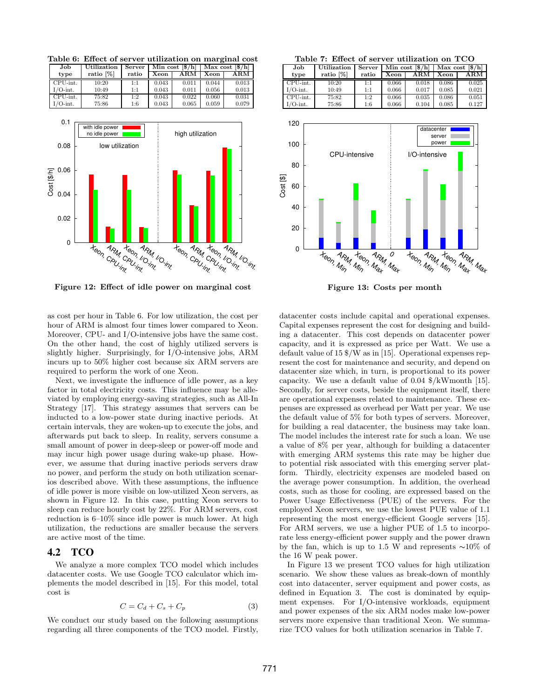Table 6: Effect of server utilization on marginal cost

<span id="page-9-0"></span>

|             | ravie v.          | Effect of set ver utilization on marginal cos |        |       |                          |       |                          |
|-------------|-------------------|-----------------------------------------------|--------|-------|--------------------------|-------|--------------------------|
|             | Job               | Utilization                                   | Server |       | Min cost $[\frac{6}{h}]$ |       | $Max cost$ [ $\lambda$ ] |
|             | type              | ratio [%]                                     | ratio  | Xeon  | ARM                      | Xeon  | $\mathbf{ARM}$           |
|             | $CPU-int.$        | 10:20                                         | 1:1    | 0.043 | 0.011                    | 0.044 | 0.013                    |
|             | $I/O\text{-}int.$ | 10:49                                         | 1:1    | 0.043 | 0.011                    | 0.056 | 0.013                    |
|             | CPU-int.          | 75:82                                         | 1:2    | 0.043 | 0.022                    | 0.060 | 0.031                    |
|             | $I/O-int.$        | 75:86                                         | 1:6    | 0.043 | 0.065                    | 0.059 | 0.079                    |
|             | 0.1               | with idle power<br>no idle power              |        |       | high utilization         |       |                          |
|             | 0.08              | low utilization                               |        |       |                          |       |                          |
| Cost [\$/h] | 0.06              |                                               |        |       |                          |       |                          |
|             | 0.04              |                                               |        |       |                          |       |                          |

as cost per hour in Table [6.](#page-9-0) For low utilization, the cost per hour of ARM is almost four times lower compared to Xeon. Moreover, CPU- and I/O-intensive jobs have the same cost. On the other hand, the cost of highly utilized servers is slightly higher. Surprisingly, for I/O-intensive jobs, ARM incurs up to 50% higher cost because six ARM servers are

<span id="page-9-1"></span>Figure 12: Effect of idle power on marginal cost

**Xeon, ChU-int. ARM, CRU-int.** Xeon, Iro-int. ARM, I/O-int.

required to perform the work of one Xeon. Next, we investigate the influence of idle power, as a key factor in total electricity costs. This influence may be alleviated by employing energy-saving strategies, such as All-In Strategy [\[17\]](#page-11-7). This strategy assumes that servers can be inducted to a low-power state during inactive periods. At certain intervals, they are woken-up to execute the jobs, and afterwards put back to sleep. In reality, servers consume a small amount of power in deep-sleep or power-off mode and may incur high power usage during wake-up phase. However, we assume that during inactive periods servers draw no power, and perform the study on both utilization scenarios described above. With these assumptions, the influence of idle power is more visible on low-utilized Xeon servers, as shown in Figure [12.](#page-9-1) In this case, putting Xeon servers to sleep can reduce hourly cost by 22%. For ARM servers, cost reduction is 6–10% since idle power is much lower. At high utilization, the reductions are smaller because the servers are active most of the time.

# 4.2 TCO

 $\Omega$ 

**Xeon, Chu, int. ARM, CRU-int.** Xeon, IIO-int. ARM, I/O-int.

0.02

We analyze a more complex TCO model which includes datacenter costs. We use Google TCO calculator which implements the model described in [\[15\]](#page-11-14). For this model, total cost is

<span id="page-9-3"></span>
$$
C = C_d + C_s + C_p \tag{3}
$$

We conduct our study based on the following assumptions regarding all three components of the TCO model. Firstly,

<span id="page-9-4"></span>

|  |  |  | Table 7: Effect of server utilization on TCO |  |  |
|--|--|--|----------------------------------------------|--|--|
|--|--|--|----------------------------------------------|--|--|

| Job                           | Utilization | Server |       | Min cost $\left[\frac{8}{h}\right]$ |       | Max cost $\left \frac{1}{2}\right $ |
|-------------------------------|-------------|--------|-------|-------------------------------------|-------|-------------------------------------|
| type                          | ratio [%]   | ratio  | Xeon  | $_{\rm{ARM}}$                       | Xeon  | A R.M                               |
| CPU-int.                      | 10:20       | 1:1    | 0.066 | 0.018                               | 0.086 | 0.025                               |
| $I/O-int.$                    | 10:49       | 1:1    | 0.066 | 0.017                               | 0.085 | 0.021                               |
| $\overline{\text{CPU}}$ -int. | 75:82       | 1:2    | 0.066 | 0.035                               | 0.086 | 0.051                               |
| $I/O-int.$                    | 75:86       | 1:6    | 0.066 | 0.104                               | 0.085 | 0.127                               |



<span id="page-9-2"></span>Figure 13: Costs per month

datacenter costs include capital and operational expenses. Capital expenses represent the cost for designing and building a datacenter. This cost depends on datacenter power capacity, and it is expressed as price per Watt. We use a default value of 15 \$/W as in [\[15\]](#page-11-14). Operational expenses represent the cost for maintenance and security, and depend on datacenter size which, in turn, is proportional to its power capacity. We use a default value of 0.04 \$/kWmonth [\[15\]](#page-11-14). Secondly, for server costs, beside the equipment itself, there are operational expenses related to maintenance. These expenses are expressed as overhead per Watt per year. We use the default value of 5% for both types of servers. Moreover, for building a real datacenter, the business may take loan. The model includes the interest rate for such a loan. We use a value of 8% per year, although for building a datacenter with emerging ARM systems this rate may be higher due to potential risk associated with this emerging server platform. Thirdly, electricity expenses are modeled based on the average power consumption. In addition, the overhead costs, such as those for cooling, are expressed based on the Power Usage Effectiveness (PUE) of the servers. For the employed Xeon servers, we use the lowest PUE value of 1.1 representing the most energy-efficient Google servers [\[15\]](#page-11-14). For ARM servers, we use a higher PUE of 1.5 to incorporate less energy-efficient power supply and the power drawn by the fan, which is up to 1.5 W and represents ∼10% of the 16 W peak power.

In Figure [13](#page-9-2) we present TCO values for high utilization scenario. We show these values as break-down of monthly cost into datacenter, server equipment and power costs, as defined in Equation [3.](#page-9-3) The cost is dominated by equipment expenses. For I/O-intensive workloads, equipment and power expenses of the six ARM nodes make low-power servers more expensive than traditional Xeon. We summarize TCO values for both utilization scenarios in Table [7.](#page-9-4)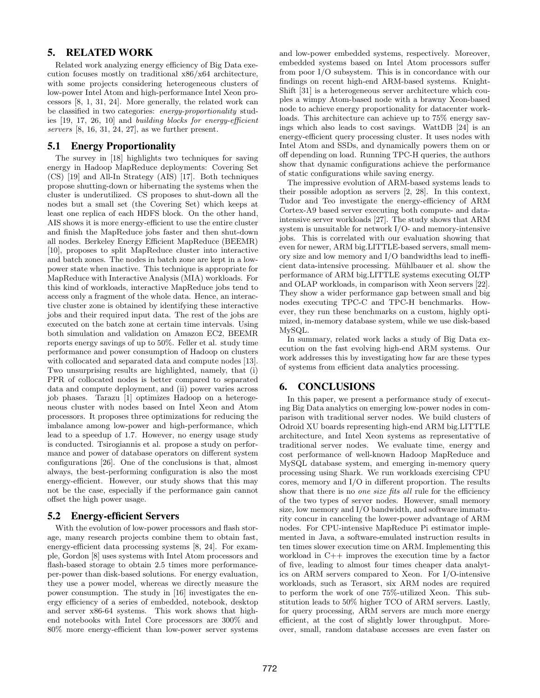# <span id="page-10-0"></span>5. RELATED WORK

Related work analyzing energy efficiency of Big Data execution focuses mostly on traditional x86/x64 architecture, with some projects considering heterogeneous clusters of low-power Intel Atom and high-performance Intel Xeon processors [\[8,](#page-11-10) [1,](#page-11-12) [31,](#page-11-2) [24\]](#page-11-11). More generally, the related work can be classified in two categories: energy-proportionality studies [\[19,](#page-11-6) [17,](#page-11-7) [26,](#page-11-9) [10\]](#page-11-8) and building blocks for energy-efficient servers  $[8, 16, 31, 24, 27]$  $[8, 16, 31, 24, 27]$  $[8, 16, 31, 24, 27]$  $[8, 16, 31, 24, 27]$  $[8, 16, 31, 24, 27]$ , as we further present.

### 5.1 Energy Proportionality

The survey in [\[18\]](#page-11-31) highlights two techniques for saving energy in Hadoop MapReduce deployments: Covering Set (CS) [\[19\]](#page-11-6) and All-In Strategy (AIS) [\[17\]](#page-11-7). Both techniques propose shutting-down or hibernating the systems when the cluster is underutilized. CS proposes to shut-down all the nodes but a small set (the Covering Set) which keeps at least one replica of each HDFS block. On the other hand, AIS shows it is more energy-efficient to use the entire cluster and finish the MapReduce jobs faster and then shut-down all nodes. Berkeley Energy Efficient MapReduce (BEEMR) [\[10\]](#page-11-8), proposes to split MapReduce cluster into interactive and batch zones. The nodes in batch zone are kept in a lowpower state when inactive. This technique is appropriate for MapReduce with Interactive Analysis (MIA) workloads. For this kind of workloads, interactive MapReduce jobs tend to access only a fragment of the whole data. Hence, an interactive cluster zone is obtained by identifying these interactive jobs and their required input data. The rest of the jobs are executed on the batch zone at certain time intervals. Using both simulation and validation on Amazon EC2, BEEMR reports energy savings of up to 50%. Feller et al. study time performance and power consumption of Hadoop on clusters with collocated and separated data and compute nodes [\[13\]](#page-11-32). Two unsurprising results are highlighted, namely, that (i) PPR of collocated nodes is better compared to separated data and compute deployment, and (ii) power varies across job phases. Tarazu [\[1\]](#page-11-12) optimizes Hadoop on a heterogeneous cluster with nodes based on Intel Xeon and Atom processors. It proposes three optimizations for reducing the imbalance among low-power and high-performance, which lead to a speedup of 1.7. However, no energy usage study is conducted. Tsirogiannis et al. propose a study on performance and power of database operators on different system configurations [\[26\]](#page-11-9). One of the conclusions is that, almost always, the best-performing configuration is also the most energy-efficient. However, our study shows that this may not be the case, especially if the performance gain cannot offset the high power usage.

## 5.2 Energy-efficient Servers

With the evolution of low-power processors and flash storage, many research projects combine them to obtain fast, energy-efficient data processing systems [\[8,](#page-11-10) [24\]](#page-11-11). For example, Gordon [\[8\]](#page-11-10) uses systems with Intel Atom processors and flash-based storage to obtain 2.5 times more performanceper-power than disk-based solutions. For energy evaluation, they use a power model, whereas we directly measure the power consumption. The study in [\[16\]](#page-11-30) investigates the energy efficiency of a series of embedded, notebook, desktop and server x86-64 systems. This work shows that highend notebooks with Intel Core processors are 300% and 80% more energy-efficient than low-power server systems

and low-power embedded systems, respectively. Moreover, embedded systems based on Intel Atom processors suffer from poor I/O subsystem. This is in concordance with our findings on recent high-end ARM-based systems. Knight-Shift [\[31\]](#page-11-2) is a heterogeneous server architecture which couples a wimpy Atom-based node with a brawny Xeon-based node to achieve energy proportionality for datacenter workloads. This architecture can achieve up to 75% energy savings which also leads to cost savings. WattDB [\[24\]](#page-11-11) is an energy-efficient query processing cluster. It uses nodes with Intel Atom and SSDs, and dynamically powers them on or off depending on load. Running TPC-H queries, the authors show that dynamic configurations achieve the performance of static configurations while saving energy.

The impressive evolution of ARM-based systems leads to their possible adoption as servers [\[2,](#page-11-5) [28\]](#page-11-4). In this context, Tudor and Teo investigate the energy-efficiency of ARM Cortex-A9 based server executing both compute- and dataintensive server workloads [\[27\]](#page-11-1). The study shows that ARM system is unsuitable for network I/O- and memory-intensive jobs. This is correlated with our evaluation showing that even for newer, ARM big.LITTLE-based servers, small memory size and low memory and I/O bandwidths lead to inefficient data-intensive processing. Mühlbauer et al. show the performance of ARM big.LITTLE systems executing OLTP and OLAP workloads, in comparison with Xeon servers [\[22\]](#page-11-33). They show a wider performance gap between small and big nodes executing TPC-C and TPC-H benchmarks. However, they run these benchmarks on a custom, highly optimized, in-memory database system, while we use disk-based MySQL.

In summary, related work lacks a study of Big Data execution on the fast evolving high-end ARM systems. Our work addresses this by investigating how far are these types of systems from efficient data analytics processing.

# <span id="page-10-1"></span>6. CONCLUSIONS

In this paper, we present a performance study of executing Big Data analytics on emerging low-power nodes in comparison with traditional server nodes. We build clusters of Odroid XU boards representing high-end ARM big.LITTLE architecture, and Intel Xeon systems as representative of traditional server nodes. We evaluate time, energy and cost performance of well-known Hadoop MapReduce and MySQL database system, and emerging in-memory query processing using Shark. We run workloads exercising CPU cores, memory and I/O in different proportion. The results show that there is no *one size fits all* rule for the efficiency of the two types of server nodes. However, small memory size, low memory and I/O bandwidth, and software immaturity concur in canceling the lower-power advantage of ARM nodes. For CPU-intensive MapReduce Pi estimator implemented in Java, a software-emulated instruction results in ten times slower execution time on ARM. Implementing this workload in C++ improves the execution time by a factor of five, leading to almost four times cheaper data analytics on ARM servers compared to Xeon. For I/O-intensive workloads, such as Terasort, six ARM nodes are required to perform the work of one 75%-utilized Xeon. This substitution leads to 50% higher TCO of ARM servers. Lastly, for query processing, ARM servers are much more energy efficient, at the cost of slightly lower throughput. Moreover, small, random database accesses are even faster on